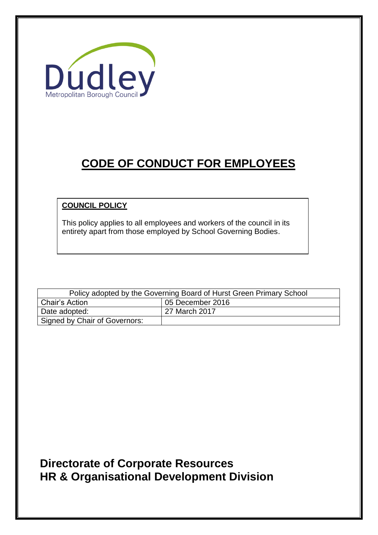

# **CODE OF CONDUCT FOR EMPLOYEES**

# **COUNCIL POLICY**

This policy applies to all employees and workers of the council in its entirety apart from those employed by School Governing Bodies.

| Policy adopted by the Governing Board of Hurst Green Primary School |                  |  |  |  |
|---------------------------------------------------------------------|------------------|--|--|--|
| Chair's Action                                                      | 05 December 2016 |  |  |  |
| Date adopted:                                                       | 27 March 2017    |  |  |  |
| Signed by Chair of Governors:                                       |                  |  |  |  |

# **Directorate of Corporate Resources HR & Organisational Development Division**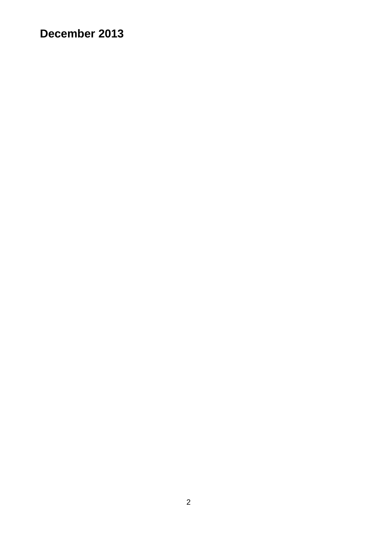# **December 2013**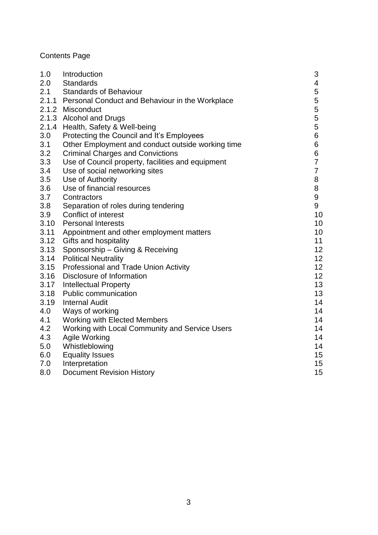# Contents Page

| 1.0  | Introduction                                          | 3              |  |  |  |
|------|-------------------------------------------------------|----------------|--|--|--|
| 2.0  | <b>Standards</b>                                      | 4              |  |  |  |
| 2.1  | <b>Standards of Behaviour</b>                         | 5              |  |  |  |
|      | 2.1.1 Personal Conduct and Behaviour in the Workplace | 5              |  |  |  |
|      | 2.1.2 Misconduct                                      | 5              |  |  |  |
|      | 2.1.3 Alcohol and Drugs                               | 5              |  |  |  |
|      | 2.1.4 Health, Safety & Well-being                     | 5              |  |  |  |
| 3.0  | Protecting the Council and It's Employees             | 6              |  |  |  |
| 3.1  | Other Employment and conduct outside working time     |                |  |  |  |
| 3.2  | <b>Criminal Charges and Convictions</b>               |                |  |  |  |
| 3.3  | Use of Council property, facilities and equipment     | $\overline{7}$ |  |  |  |
| 3.4  | Use of social networking sites                        | $\overline{7}$ |  |  |  |
| 3.5  | Use of Authority                                      | 8              |  |  |  |
| 3.6  | Use of financial resources                            | 8              |  |  |  |
| 3.7  | Contractors                                           | 9              |  |  |  |
| 3.8  | Separation of roles during tendering                  | 9              |  |  |  |
| 3.9  | Conflict of interest                                  | 10             |  |  |  |
| 3.10 | <b>Personal Interests</b>                             | 10             |  |  |  |
| 3.11 | Appointment and other employment matters              | 10             |  |  |  |
| 3.12 | <b>Gifts and hospitality</b>                          | 11             |  |  |  |
| 3.13 | Sponsorship - Giving & Receiving                      | 12             |  |  |  |
| 3.14 | <b>Political Neutrality</b>                           | 12             |  |  |  |
| 3.15 | Professional and Trade Union Activity                 | 12             |  |  |  |
| 3.16 | Disclosure of Information                             | 12             |  |  |  |
| 3.17 | <b>Intellectual Property</b>                          | 13             |  |  |  |
| 3.18 | Public communication                                  | 13             |  |  |  |
| 3.19 | <b>Internal Audit</b>                                 | 14             |  |  |  |
| 4.0  | Ways of working                                       | 14             |  |  |  |
| 4.1  | Working with Elected Members                          | 14             |  |  |  |
| 4.2  | Working with Local Community and Service Users        | 14             |  |  |  |
| 4.3  | Agile Working                                         | 14             |  |  |  |
| 5.0  | Whistleblowing                                        | 14             |  |  |  |
| 6.0  | <b>Equality Issues</b>                                | 15             |  |  |  |
| 7.0  | Interpretation                                        | 15             |  |  |  |
| 8.0  | <b>Document Revision History</b>                      | 15             |  |  |  |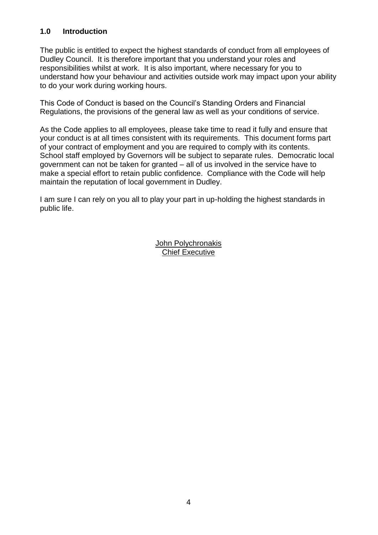# **1.0 Introduction**

The public is entitled to expect the highest standards of conduct from all employees of Dudley Council. It is therefore important that you understand your roles and responsibilities whilst at work. It is also important, where necessary for you to understand how your behaviour and activities outside work may impact upon your ability to do your work during working hours.

This Code of Conduct is based on the Council's Standing Orders and Financial Regulations, the provisions of the general law as well as your conditions of service.

As the Code applies to all employees, please take time to read it fully and ensure that your conduct is at all times consistent with its requirements. This document forms part of your contract of employment and you are required to comply with its contents. School staff employed by Governors will be subject to separate rules. Democratic local government can not be taken for granted – all of us involved in the service have to make a special effort to retain public confidence. Compliance with the Code will help maintain the reputation of local government in Dudley.

I am sure I can rely on you all to play your part in up-holding the highest standards in public life.

> John Polychronakis Chief Executive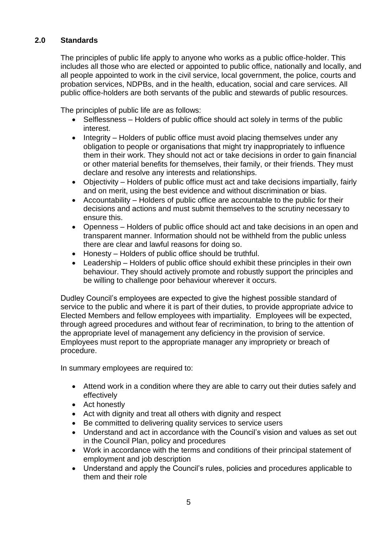# **2.0 Standards**

The principles of public life apply to anyone who works as a public office-holder. This includes all those who are elected or appointed to public office, nationally and locally, and all people appointed to work in the civil service, local government, the police, courts and probation services, NDPBs, and in the health, education, social and care services. All public office-holders are both servants of the public and stewards of public resources.

The principles of public life are as follows:

- Selflessness Holders of public office should act solely in terms of the public interest.
- Integrity Holders of public office must avoid placing themselves under any obligation to people or organisations that might try inappropriately to influence them in their work. They should not act or take decisions in order to gain financial or other material benefits for themselves, their family, or their friends. They must declare and resolve any interests and relationships.
- Objectivity Holders of public office must act and take decisions impartially, fairly and on merit, using the best evidence and without discrimination or bias.
- Accountability Holders of public office are accountable to the public for their decisions and actions and must submit themselves to the scrutiny necessary to ensure this.
- Openness Holders of public office should act and take decisions in an open and transparent manner. Information should not be withheld from the public unless there are clear and lawful reasons for doing so.
- Honesty Holders of public office should be truthful.
- Leadership Holders of public office should exhibit these principles in their own behaviour. They should actively promote and robustly support the principles and be willing to challenge poor behaviour wherever it occurs.

Dudley Council's employees are expected to give the highest possible standard of service to the public and where it is part of their duties, to provide appropriate advice to Elected Members and fellow employees with impartiality. Employees will be expected, through agreed procedures and without fear of recrimination, to bring to the attention of the appropriate level of management any deficiency in the provision of service. Employees must report to the appropriate manager any impropriety or breach of procedure.

In summary employees are required to:

- Attend work in a condition where they are able to carry out their duties safely and effectively
- Act honestly
- Act with dignity and treat all others with dignity and respect
- Be committed to delivering quality services to service users
- Understand and act in accordance with the Council's vision and values as set out in the Council Plan, policy and procedures
- Work in accordance with the terms and conditions of their principal statement of employment and job description
- Understand and apply the Council's rules, policies and procedures applicable to them and their role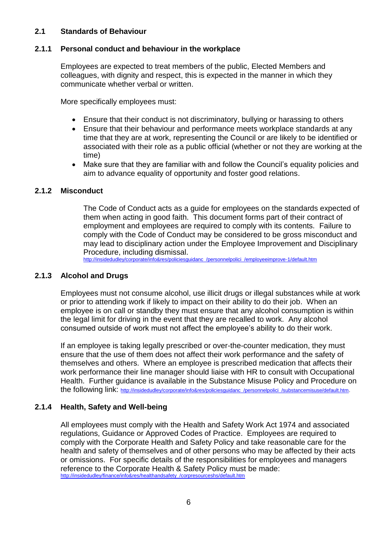# **2.1 Standards of Behaviour**

# **2.1.1 Personal conduct and behaviour in the workplace**

Employees are expected to treat members of the public, Elected Members and colleagues, with dignity and respect, this is expected in the manner in which they communicate whether verbal or written.

More specifically employees must:

- Ensure that their conduct is not discriminatory, bullying or harassing to others
- Ensure that their behaviour and performance meets workplace standards at any time that they are at work, representing the Council or are likely to be identified or associated with their role as a public official (whether or not they are working at the time)
- Make sure that they are familiar with and follow the Council's equality policies and aim to advance equality of opportunity and foster good relations.

### **2.1.2 Misconduct**

The Code of Conduct acts as a guide for employees on the standards expected of them when acting in good faith. This document forms part of their contract of employment and employees are required to comply with its contents. Failure to comply with the Code of Conduct may be considered to be gross misconduct and may lead to disciplinary action under the Employee Improvement and Disciplinary Procedure, including dismissal.

[http://insidedudley/corporate/info&res/policiesguidanc\\_/personnelpolici\\_/employeeimprove-1/default.htm](http://insidedudley/corporate/info&res/policiesguidanc_/personnelpolici_/employeeimprove-1/default.htm)

### **2.1.3 Alcohol and Drugs**

Employees must not consume alcohol, use illicit drugs or illegal substances while at work or prior to attending work if likely to impact on their ability to do their job. When an employee is on call or standby they must ensure that any alcohol consumption is within the legal limit for driving in the event that they are recalled to work. Any alcohol consumed outside of work must not affect the employee's ability to do their work.

If an employee is taking legally prescribed or over-the-counter medication, they must ensure that the use of them does not affect their work performance and the safety of themselves and others. Where an employee is prescribed medication that affects their work performance their line manager should liaise with HR to consult with Occupational Health. Further guidance is available in the Substance Misuse Policy and Procedure on the following link: [http://insidedudley/corporate/info&res/policiesguidanc\\_/personnelpolici\\_/substancemisuse/default.htm.](http://insidedudley/corporate/info&res/policiesguidanc_/personnelpolici_/substancemisuse/default.htm)

### **2.1.4 Health, Safety and Well-being**

All employees must comply with the Health and Safety Work Act 1974 and associated regulations, Guidance or Approved Codes of Practice. Employees are required to comply with the Corporate Health and Safety Policy and take reasonable care for the health and safety of themselves and of other persons who may be affected by their acts or omissions. For specific details of the responsibilities for employees and managers reference to the Corporate Health & Safety Policy must be made: [http://insidedudley/finance/info&res/healthandsafety\\_/corpresourceshs/default.htm](http://insidedudley/finance/info&res/healthandsafety_/corpresourceshs/default.htm)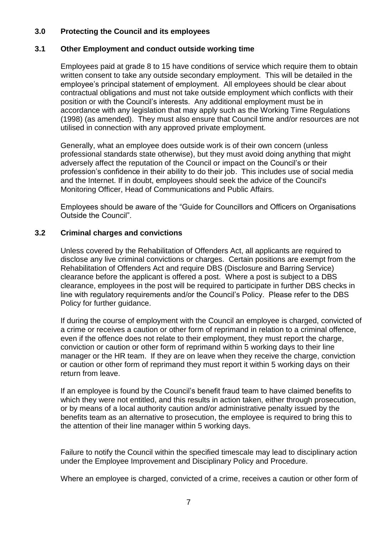# **3.0 Protecting the Council and its employees**

# **3.1 Other Employment and conduct outside working time**

Employees paid at grade 8 to 15 have conditions of service which require them to obtain written consent to take any outside secondary employment. This will be detailed in the employee's principal statement of employment. All employees should be clear about contractual obligations and must not take outside employment which conflicts with their position or with the Council's interests. Any additional employment must be in accordance with any legislation that may apply such as the Working Time Regulations (1998) (as amended). They must also ensure that Council time and/or resources are not utilised in connection with any approved private employment.

Generally, what an employee does outside work is of their own concern (unless professional standards state otherwise), but they must avoid doing anything that might adversely affect the reputation of the Council or impact on the Council's or their profession's confidence in their ability to do their job. This includes use of social media and the Internet. If in doubt, employees should seek the advice of the Council's Monitoring Officer, Head of Communications and Public Affairs.

Employees should be aware of the "Guide for Councillors and Officers on Organisations Outside the Council".

# **3.2 Criminal charges and convictions**

Unless covered by the Rehabilitation of Offenders Act, all applicants are required to disclose any live criminal convictions or charges. Certain positions are exempt from the Rehabilitation of Offenders Act and require DBS (Disclosure and Barring Service) clearance before the applicant is offered a post. Where a post is subject to a DBS clearance, employees in the post will be required to participate in further DBS checks in line with regulatory requirements and/or the Council's Policy. Please refer to the DBS Policy for further guidance.

If during the course of employment with the Council an employee is charged, convicted of a crime or receives a caution or other form of reprimand in relation to a criminal offence, even if the offence does not relate to their employment, they must report the charge, conviction or caution or other form of reprimand within 5 working days to their line manager or the HR team. If they are on leave when they receive the charge, conviction or caution or other form of reprimand they must report it within 5 working days on their return from leave.

If an employee is found by the Council's benefit fraud team to have claimed benefits to which they were not entitled, and this results in action taken, either through prosecution, or by means of a local authority caution and/or administrative penalty issued by the benefits team as an alternative to prosecution, the employee is required to bring this to the attention of their line manager within 5 working days.

Failure to notify the Council within the specified timescale may lead to disciplinary action under the Employee Improvement and Disciplinary Policy and Procedure.

Where an employee is charged, convicted of a crime, receives a caution or other form of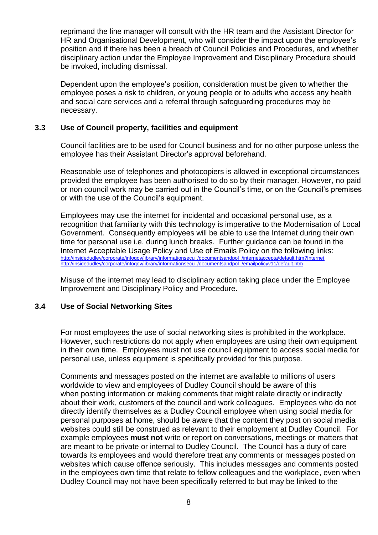reprimand the line manager will consult with the HR team and the Assistant Director for HR and Organisational Development, who will consider the impact upon the employee's position and if there has been a breach of Council Policies and Procedures, and whether disciplinary action under the Employee Improvement and Disciplinary Procedure should be invoked, including dismissal.

Dependent upon the employee's position, consideration must be given to whether the employee poses a risk to children, or young people or to adults who access any health and social care services and a referral through safeguarding procedures may be necessary.

# **3.3 Use of Council property, facilities and equipment**

Council facilities are to be used for Council business and for no other purpose unless the employee has their Assistant Director's approval beforehand.

Reasonable use of telephones and photocopiers is allowed in exceptional circumstances provided the employee has been authorised to do so by their manager. However, no paid or non council work may be carried out in the Council's time, or on the Council's premises or with the use of the Council's equipment.

Employees may use the internet for incidental and occasional personal use, as a recognition that familiarity with this technology is imperative to the Modernisation of Local Government. Consequently employees will be able to use the Internet during their own time for personal use i.e. during lunch breaks. Further guidance can be found in the Internet Acceptable Usage Policy and Use of Emails Policy on the following links: [http://insidedudley/corporate/infogov/library/informationsecu\\_/documentsandpol\\_/internetaccepta/default.htm?Internet](http://insidedudley/corporate/infogov/library/informationsecu_/documentsandpol_/internetaccepta/default.htm?Internet) [http://insidedudley/corporate/infogov/library/informationsecu\\_/documentsandpol\\_/emailpolicyv11/default.htm](http://insidedudley/corporate/infogov/library/informationsecu_/documentsandpol_/emailpolicyv11/default.htm)

Misuse of the internet may lead to disciplinary action taking place under the Employee Improvement and Disciplinary Policy and Procedure.

# **3.4 Use of Social Networking Sites**

For most employees the use of social networking sites is prohibited in the workplace. However, such restrictions do not apply when employees are using their own equipment in their own time. Employees must not use council equipment to access social media for personal use, unless equipment is specifically provided for this purpose.

Comments and messages posted on the internet are available to millions of users worldwide to view and employees of Dudley Council should be aware of this when posting information or making comments that might relate directly or indirectly about their work, customers of the council and work colleagues. Employees who do not directly identify themselves as a Dudley Council employee when using social media for personal purposes at home, should be aware that the content they post on social media websites could still be construed as relevant to their employment at Dudley Council. For example employees **must not** write or report on conversations, meetings or matters that are meant to be private or internal to Dudley Council. The Council has a duty of care towards its employees and would therefore treat any comments or messages posted on websites which cause offence seriously. This includes messages and comments posted in the employees own time that relate to fellow colleagues and the workplace, even when Dudley Council may not have been specifically referred to but may be linked to the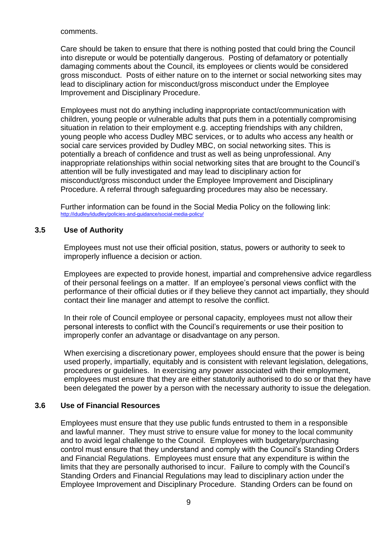comments.

Care should be taken to ensure that there is nothing posted that could bring the Council into disrepute or would be potentially dangerous. Posting of defamatory or potentially damaging comments about the Council, its employees or clients would be considered gross misconduct. Posts of either nature on to the internet or social networking sites may lead to disciplinary action for misconduct/gross misconduct under the Employee Improvement and Disciplinary Procedure.

Employees must not do anything including inappropriate contact/communication with children, young people or vulnerable adults that puts them in a potentially compromising situation in relation to their employment e.g. accepting friendships with any children, young people who access Dudley MBC services, or to adults who access any health or social care services provided by Dudley MBC, on social networking sites. This is potentially a breach of confidence and trust as well as being unprofessional. Any inappropriate relationships within social networking sites that are brought to the Council's attention will be fully investigated and may lead to disciplinary action for misconduct/gross misconduct under the Employee Improvement and Disciplinary Procedure. A referral through safeguarding procedures may also be necessary.

Further information can be found in the Social Media Policy on the following link: <http://idudley/idudley/policies-and-guidance/social-media-policy/>

### **3.5 Use of Authority**

Employees must not use their official position, status, powers or authority to seek to improperly influence a decision or action.

Employees are expected to provide honest, impartial and comprehensive advice regardless of their personal feelings on a matter. If an employee's personal views conflict with the performance of their official duties or if they believe they cannot act impartially, they should contact their line manager and attempt to resolve the conflict.

In their role of Council employee or personal capacity, employees must not allow their personal interests to conflict with the Council's requirements or use their position to improperly confer an advantage or disadvantage on any person.

When exercising a discretionary power, employees should ensure that the power is being used properly, impartially, equitably and is consistent with relevant legislation, delegations, procedures or guidelines. In exercising any power associated with their employment, employees must ensure that they are either statutorily authorised to do so or that they have been delegated the power by a person with the necessary authority to issue the delegation.

### **3.6 Use of Financial Resources**

Employees must ensure that they use public funds entrusted to them in a responsible and lawful manner. They must strive to ensure value for money to the local community and to avoid legal challenge to the Council. Employees with budgetary/purchasing control must ensure that they understand and comply with the Council's Standing Orders and Financial Regulations. Employees must ensure that any expenditure is within the limits that they are personally authorised to incur. Failure to comply with the Council's Standing Orders and Financial Regulations may lead to disciplinary action under the Employee Improvement and Disciplinary Procedure. Standing Orders can be found on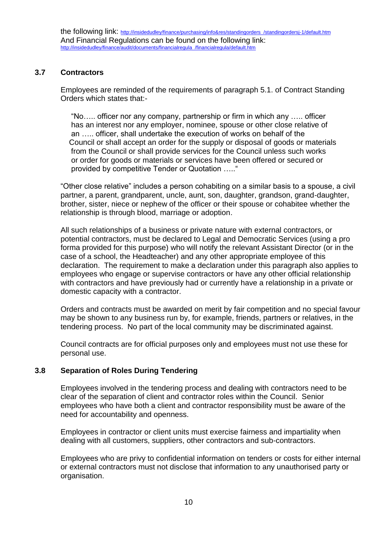# **3.7 Contractors**

Employees are reminded of the requirements of paragraph 5.1. of Contract Standing Orders which states that:-

 "No….. officer nor any company, partnership or firm in which any ….. officer has an interest nor any employer, nominee, spouse or other close relative of an ….. officer, shall undertake the execution of works on behalf of the Council or shall accept an order for the supply or disposal of goods or materials from the Council or shall provide services for the Council unless such works or order for goods or materials or services have been offered or secured or provided by competitive Tender or Quotation ….."

"Other close relative" includes a person cohabiting on a similar basis to a spouse, a civil partner, a parent, grandparent, uncle, aunt, son, daughter, grandson, grand-daughter, brother, sister, niece or nephew of the officer or their spouse or cohabitee whether the relationship is through blood, marriage or adoption.

All such relationships of a business or private nature with external contractors, or potential contractors, must be declared to Legal and Democratic Services (using a pro forma provided for this purpose) who will notify the relevant Assistant Director (or in the case of a school, the Headteacher) and any other appropriate employee of this declaration. The requirement to make a declaration under this paragraph also applies to employees who engage or supervise contractors or have any other official relationship with contractors and have previously had or currently have a relationship in a private or domestic capacity with a contractor.

Orders and contracts must be awarded on merit by fair competition and no special favour may be shown to any business run by, for example, friends, partners or relatives, in the tendering process. No part of the local community may be discriminated against.

Council contracts are for official purposes only and employees must not use these for personal use.

# **3.8 Separation of Roles During Tendering**

Employees involved in the tendering process and dealing with contractors need to be clear of the separation of client and contractor roles within the Council. Senior employees who have both a client and contractor responsibility must be aware of the need for accountability and openness.

Employees in contractor or client units must exercise fairness and impartiality when dealing with all customers, suppliers, other contractors and sub-contractors.

Employees who are privy to confidential information on tenders or costs for either internal or external contractors must not disclose that information to any unauthorised party or organisation.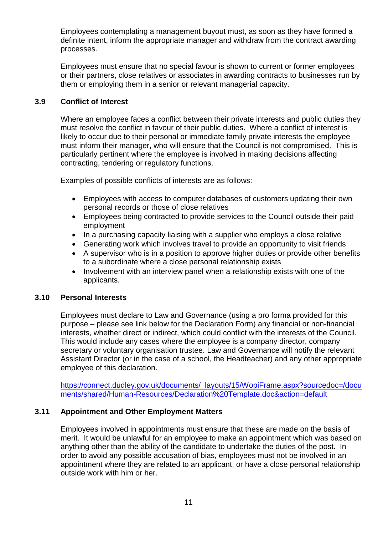Employees contemplating a management buyout must, as soon as they have formed a definite intent, inform the appropriate manager and withdraw from the contract awarding processes.

Employees must ensure that no special favour is shown to current or former employees or their partners, close relatives or associates in awarding contracts to businesses run by them or employing them in a senior or relevant managerial capacity.

# **3.9 Conflict of Interest**

Where an employee faces a conflict between their private interests and public duties they must resolve the conflict in favour of their public duties. Where a conflict of interest is likely to occur due to their personal or immediate family private interests the employee must inform their manager, who will ensure that the Council is not compromised. This is particularly pertinent where the employee is involved in making decisions affecting contracting, tendering or regulatory functions.

Examples of possible conflicts of interests are as follows:

- Employees with access to computer databases of customers updating their own personal records or those of close relatives
- Employees being contracted to provide services to the Council outside their paid employment
- In a purchasing capacity liaising with a supplier who employs a close relative
- Generating work which involves travel to provide an opportunity to visit friends
- A supervisor who is in a position to approve higher duties or provide other benefits to a subordinate where a close personal relationship exists
- Involvement with an interview panel when a relationship exists with one of the applicants.

# **3.10 Personal Interests**

Employees must declare to Law and Governance (using a pro forma provided for this purpose – please see link below for the Declaration Form) any financial or non-financial interests, whether direct or indirect, which could conflict with the interests of the Council. This would include any cases where the employee is a company director, company secretary or voluntary organisation trustee. Law and Governance will notify the relevant Assistant Director (or in the case of a school, the Headteacher) and any other appropriate employee of this declaration.

[https://connect.dudley.gov.uk/documents/\\_layouts/15/WopiFrame.aspx?sourcedoc=/docu](https://connect.dudley.gov.uk/documents/_layouts/15/WopiFrame.aspx?sourcedoc=/documents/shared/Human-Resources/Declaration%20Template.doc&action=default) [ments/shared/Human-Resources/Declaration%20Template.doc&action=default](https://connect.dudley.gov.uk/documents/_layouts/15/WopiFrame.aspx?sourcedoc=/documents/shared/Human-Resources/Declaration%20Template.doc&action=default)

# **3.11 Appointment and Other Employment Matters**

Employees involved in appointments must ensure that these are made on the basis of merit. It would be unlawful for an employee to make an appointment which was based on anything other than the ability of the candidate to undertake the duties of the post. In order to avoid any possible accusation of bias, employees must not be involved in an appointment where they are related to an applicant, or have a close personal relationship outside work with him or her.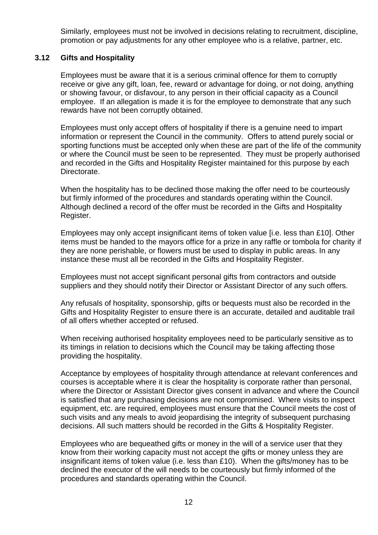Similarly, employees must not be involved in decisions relating to recruitment, discipline, promotion or pay adjustments for any other employee who is a relative, partner, etc.

### **3.12 Gifts and Hospitality**

Employees must be aware that it is a serious criminal offence for them to corruptly receive or give any gift, loan, fee, reward or advantage for doing, or not doing, anything or showing favour, or disfavour, to any person in their official capacity as a Council employee. If an allegation is made it is for the employee to demonstrate that any such rewards have not been corruptly obtained.

Employees must only accept offers of hospitality if there is a genuine need to impart information or represent the Council in the community. Offers to attend purely social or sporting functions must be accepted only when these are part of the life of the community or where the Council must be seen to be represented. They must be properly authorised and recorded in the Gifts and Hospitality Register maintained for this purpose by each Directorate.

When the hospitality has to be declined those making the offer need to be courteously but firmly informed of the procedures and standards operating within the Council. Although declined a record of the offer must be recorded in the Gifts and Hospitality Register.

Employees may only accept insignificant items of token value [i.e. less than £10]. Other items must be handed to the mayors office for a prize in any raffle or tombola for charity if they are none perishable, or flowers must be used to display in public areas. In any instance these must all be recorded in the Gifts and Hospitality Register.

Employees must not accept significant personal gifts from contractors and outside suppliers and they should notify their Director or Assistant Director of any such offers.

Any refusals of hospitality, sponsorship, gifts or bequests must also be recorded in the Gifts and Hospitality Register to ensure there is an accurate, detailed and auditable trail of all offers whether accepted or refused.

When receiving authorised hospitality employees need to be particularly sensitive as to its timings in relation to decisions which the Council may be taking affecting those providing the hospitality.

Acceptance by employees of hospitality through attendance at relevant conferences and courses is acceptable where it is clear the hospitality is corporate rather than personal, where the Director or Assistant Director gives consent in advance and where the Council is satisfied that any purchasing decisions are not compromised. Where visits to inspect equipment, etc. are required, employees must ensure that the Council meets the cost of such visits and any meals to avoid jeopardising the integrity of subsequent purchasing decisions. All such matters should be recorded in the Gifts & Hospitality Register.

Employees who are bequeathed gifts or money in the will of a service user that they know from their working capacity must not accept the gifts or money unless they are insignificant items of token value (i.e. less than £10). When the gifts/money has to be declined the executor of the will needs to be courteously but firmly informed of the procedures and standards operating within the Council.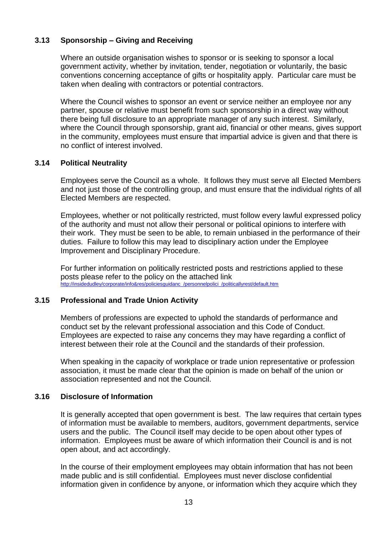# **3.13 Sponsorship – Giving and Receiving**

Where an outside organisation wishes to sponsor or is seeking to sponsor a local government activity, whether by invitation, tender, negotiation or voluntarily, the basic conventions concerning acceptance of gifts or hospitality apply. Particular care must be taken when dealing with contractors or potential contractors.

Where the Council wishes to sponsor an event or service neither an employee nor any partner, spouse or relative must benefit from such sponsorship in a direct way without there being full disclosure to an appropriate manager of any such interest. Similarly, where the Council through sponsorship, grant aid, financial or other means, gives support in the community, employees must ensure that impartial advice is given and that there is no conflict of interest involved.

### **3.14 Political Neutrality**

Employees serve the Council as a whole. It follows they must serve all Elected Members and not just those of the controlling group, and must ensure that the individual rights of all Elected Members are respected.

Employees, whether or not politically restricted, must follow every lawful expressed policy of the authority and must not allow their personal or political opinions to interfere with their work. They must be seen to be able, to remain unbiased in the performance of their duties. Failure to follow this may lead to disciplinary action under the Employee Improvement and Disciplinary Procedure.

For further information on politically restricted posts and restrictions applied to these posts please refer to the policy on the attached link [http://insidedudley/corporate/info&res/policiesguidanc\\_/personnelpolici\\_/politicallyrest/default.htm](http://insidedudley/corporate/info&res/policiesguidanc_/personnelpolici_/politicallyrest/default.htm)

### **3.15 Professional and Trade Union Activity**

Members of professions are expected to uphold the standards of performance and conduct set by the relevant professional association and this Code of Conduct. Employees are expected to raise any concerns they may have regarding a conflict of interest between their role at the Council and the standards of their profession.

When speaking in the capacity of workplace or trade union representative or profession association, it must be made clear that the opinion is made on behalf of the union or association represented and not the Council.

### **3.16 Disclosure of Information**

It is generally accepted that open government is best. The law requires that certain types of information must be available to members, auditors, government departments, service users and the public. The Council itself may decide to be open about other types of information. Employees must be aware of which information their Council is and is not open about, and act accordingly.

In the course of their employment employees may obtain information that has not been made public and is still confidential. Employees must never disclose confidential information given in confidence by anyone, or information which they acquire which they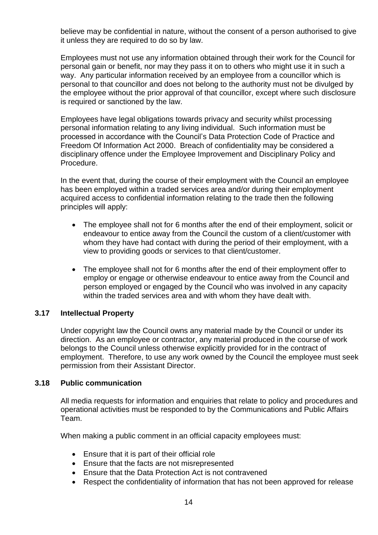believe may be confidential in nature, without the consent of a person authorised to give it unless they are required to do so by law.

Employees must not use any information obtained through their work for the Council for personal gain or benefit, nor may they pass it on to others who might use it in such a way. Any particular information received by an employee from a councillor which is personal to that councillor and does not belong to the authority must not be divulged by the employee without the prior approval of that councillor, except where such disclosure is required or sanctioned by the law.

Employees have legal obligations towards privacy and security whilst processing personal information relating to any living individual. Such information must be processed in accordance with the Council's Data Protection Code of Practice and Freedom Of Information Act 2000. Breach of confidentiality may be considered a disciplinary offence under the Employee Improvement and Disciplinary Policy and Procedure.

In the event that, during the course of their employment with the Council an employee has been employed within a traded services area and/or during their employment acquired access to confidential information relating to the trade then the following principles will apply:

- The employee shall not for 6 months after the end of their employment, solicit or endeavour to entice away from the Council the custom of a client/customer with whom they have had contact with during the period of their employment, with a view to providing goods or services to that client/customer.
- The employee shall not for 6 months after the end of their employment offer to employ or engage or otherwise endeavour to entice away from the Council and person employed or engaged by the Council who was involved in any capacity within the traded services area and with whom they have dealt with.

### **3.17 Intellectual Property**

Under copyright law the Council owns any material made by the Council or under its direction. As an employee or contractor, any material produced in the course of work belongs to the Council unless otherwise explicitly provided for in the contract of employment. Therefore, to use any work owned by the Council the employee must seek permission from their Assistant Director.

### **3.18 Public communication**

All media requests for information and enquiries that relate to policy and procedures and operational activities must be responded to by the Communications and Public Affairs Team.

When making a public comment in an official capacity employees must:

- Ensure that it is part of their official role
- Ensure that the facts are not misrepresented
- Ensure that the Data Protection Act is not contravened
- Respect the confidentiality of information that has not been approved for release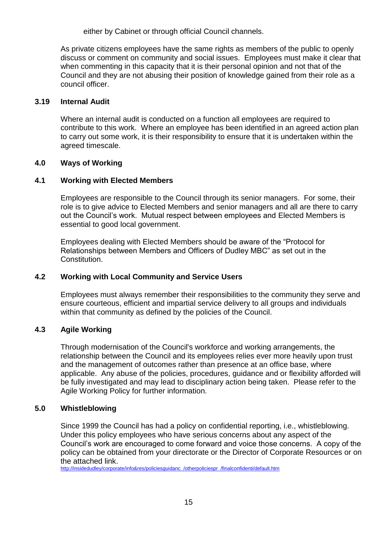either by Cabinet or through official Council channels.

As private citizens employees have the same rights as members of the public to openly discuss or comment on community and social issues. Employees must make it clear that when commenting in this capacity that it is their personal opinion and not that of the Council and they are not abusing their position of knowledge gained from their role as a council officer.

# **3.19 Internal Audit**

Where an internal audit is conducted on a function all employees are required to contribute to this work. Where an employee has been identified in an agreed action plan to carry out some work, it is their responsibility to ensure that it is undertaken within the agreed timescale.

# **4.0 Ways of Working**

# **4.1 Working with Elected Members**

Employees are responsible to the Council through its senior managers. For some, their role is to give advice to Elected Members and senior managers and all are there to carry out the Council's work. Mutual respect between employees and Elected Members is essential to good local government.

Employees dealing with Elected Members should be aware of the "Protocol for Relationships between Members and Officers of Dudley MBC" as set out in the Constitution.

# **4.2 Working with Local Community and Service Users**

Employees must always remember their responsibilities to the community they serve and ensure courteous, efficient and impartial service delivery to all groups and individuals within that community as defined by the policies of the Council.

# **4.3 Agile Working**

Through modernisation of the Council's workforce and working arrangements, the relationship between the Council and its employees relies ever more heavily upon trust and the management of outcomes rather than presence at an office base, where applicable. Any abuse of the policies, procedures, guidance and or flexibility afforded will be fully investigated and may lead to disciplinary action being taken. Please refer to the Agile Working Policy for further information.

### **5.0 Whistleblowing**

Since 1999 the Council has had a policy on confidential reporting, i.e., whistleblowing. Under this policy employees who have serious concerns about any aspect of the Council's work are encouraged to come forward and voice those concerns. A copy of the policy can be obtained from your directorate or the Director of Corporate Resources or on the attached link.

[http://insidedudley/corporate/info&res/policiesguidanc\\_/otherpoliciespr\\_/finalconfidenti/default.htm](http://insidedudley/corporate/info&res/policiesguidanc_/otherpoliciespr_/finalconfidenti/default.htm)